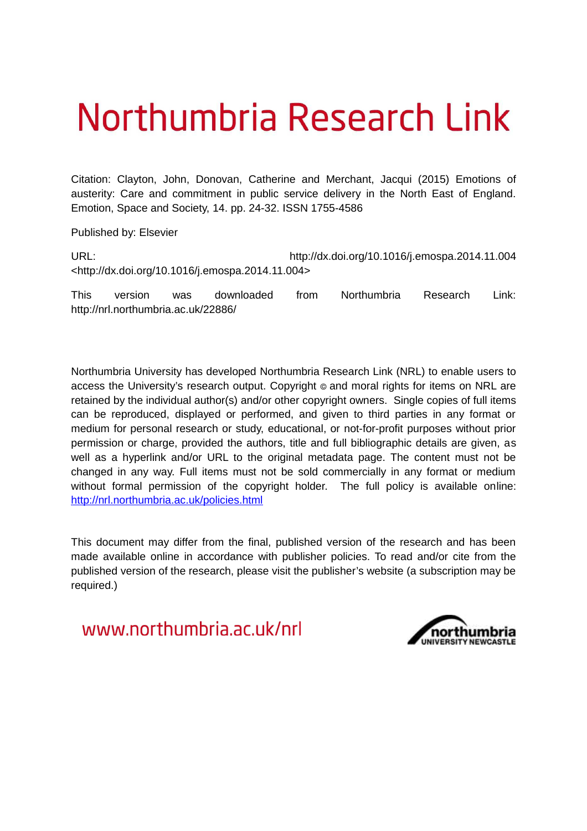# Northumbria Research Link

Citation: Clayton, John, Donovan, Catherine and Merchant, Jacqui (2015) Emotions of austerity: Care and commitment in public service delivery in the North East of England. Emotion, Space and Society, 14. pp. 24-32. ISSN 1755-4586

Published by: Elsevier

URL: http://dx.doi.org/10.1016/j.emospa.2014.11.004 <http://dx.doi.org/10.1016/j.emospa.2014.11.004>

This version was downloaded from Northumbria Research Link: http://nrl.northumbria.ac.uk/22886/

Northumbria University has developed Northumbria Research Link (NRL) to enable users to access the University's research output. Copyright  $\circ$  and moral rights for items on NRL are retained by the individual author(s) and/or other copyright owners. Single copies of full items can be reproduced, displayed or performed, and given to third parties in any format or medium for personal research or study, educational, or not-for-profit purposes without prior permission or charge, provided the authors, title and full bibliographic details are given, as well as a hyperlink and/or URL to the original metadata page. The content must not be changed in any way. Full items must not be sold commercially in any format or medium without formal permission of the copyright holder. The full policy is available online: <http://nrl.northumbria.ac.uk/policies.html>

This document may differ from the final, published version of the research and has been made available online in accordance with publisher policies. To read and/or cite from the published version of the research, please visit the publisher's website (a subscription may be required.)

www.northumbria.ac.uk/nrl

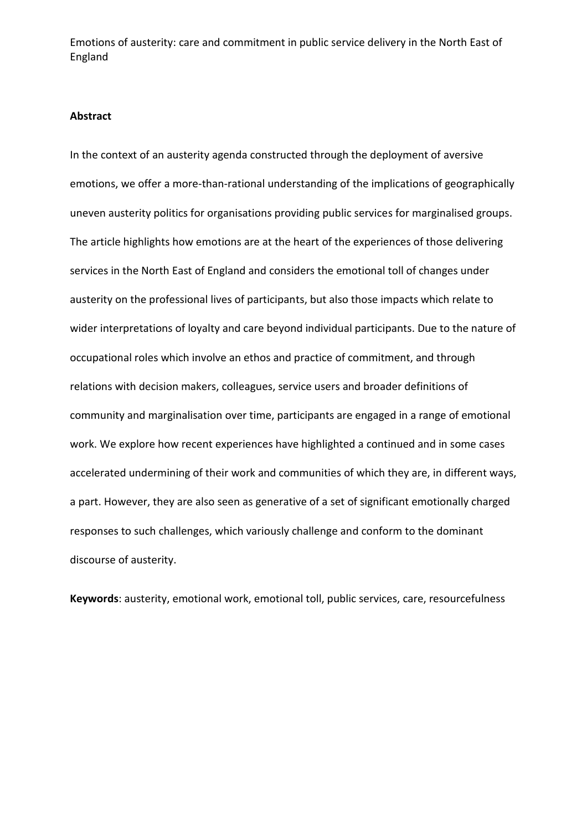## **Abstract**

In the context of an austerity agenda constructed through the deployment of aversive emotions, we offer a more-than-rational understanding of the implications of geographically uneven austerity politics for organisations providing public services for marginalised groups. The article highlights how emotions are at the heart of the experiences of those delivering services in the North East of England and considers the emotional toll of changes under austerity on the professional lives of participants, but also those impacts which relate to wider interpretations of loyalty and care beyond individual participants. Due to the nature of occupational roles which involve an ethos and practice of commitment, and through relations with decision makers, colleagues, service users and broader definitions of community and marginalisation over time, participants are engaged in a range of emotional work. We explore how recent experiences have highlighted a continued and in some cases accelerated undermining of their work and communities of which they are, in different ways, a part. However, they are also seen as generative of a set of significant emotionally charged responses to such challenges, which variously challenge and conform to the dominant discourse of austerity.

**Keywords**: austerity, emotional work, emotional toll, public services, care, resourcefulness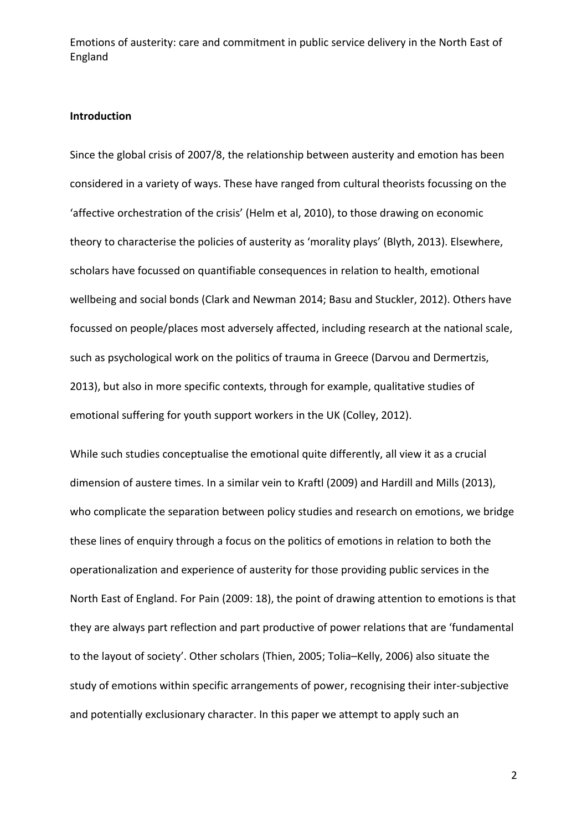#### **Introduction**

Since the global crisis of 2007/8, the relationship between austerity and emotion has been considered in a variety of ways. These have ranged from cultural theorists focussing on the 'affective orchestration of the crisis' (Helm et al, 2010), to those drawing on economic theory to characterise the policies of austerity as 'morality plays' (Blyth, 2013). Elsewhere, scholars have focussed on quantifiable consequences in relation to health, emotional wellbeing and social bonds (Clark and Newman 2014; Basu and Stuckler, 2012). Others have focussed on people/places most adversely affected, including research at the national scale, such as psychological work on the politics of trauma in Greece (Darvou and Dermertzis, 2013), but also in more specific contexts, through for example, qualitative studies of emotional suffering for youth support workers in the UK (Colley, 2012).

While such studies conceptualise the emotional quite differently, all view it as a crucial dimension of austere times. In a similar vein to Kraftl (2009) and Hardill and Mills (2013), who complicate the separation between policy studies and research on emotions, we bridge these lines of enquiry through a focus on the politics of emotions in relation to both the operationalization and experience of austerity for those providing public services in the North East of England. For Pain (2009: 18), the point of drawing attention to emotions is that they are always part reflection and part productive of power relations that are 'fundamental to the layout of society'. Other scholars (Thien, 2005; Tolia–Kelly, 2006) also situate the study of emotions within specific arrangements of power, recognising their inter-subjective and potentially exclusionary character. In this paper we attempt to apply such an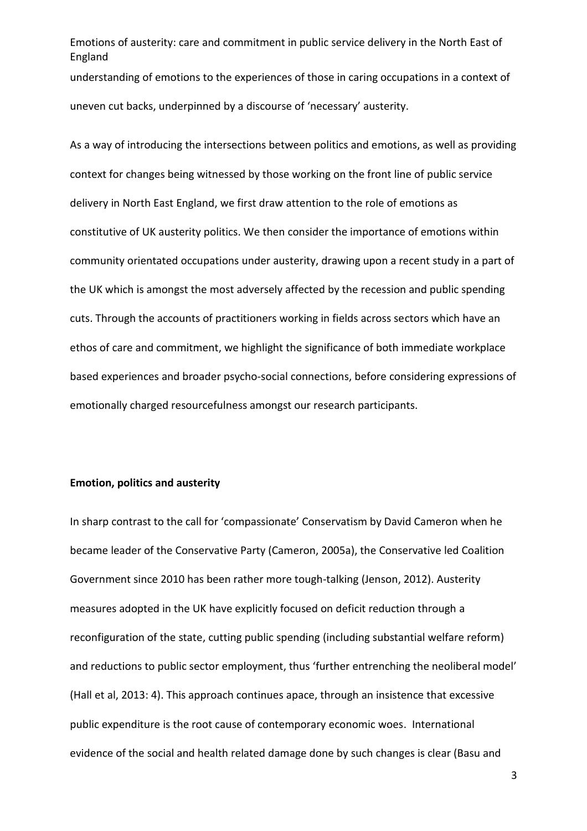understanding of emotions to the experiences of those in caring occupations in a context of uneven cut backs, underpinned by a discourse of 'necessary' austerity.

As a way of introducing the intersections between politics and emotions, as well as providing context for changes being witnessed by those working on the front line of public service delivery in North East England, we first draw attention to the role of emotions as constitutive of UK austerity politics. We then consider the importance of emotions within community orientated occupations under austerity, drawing upon a recent study in a part of the UK which is amongst the most adversely affected by the recession and public spending cuts. Through the accounts of practitioners working in fields across sectors which have an ethos of care and commitment, we highlight the significance of both immediate workplace based experiences and broader psycho-social connections, before considering expressions of emotionally charged resourcefulness amongst our research participants.

# **Emotion, politics and austerity**

In sharp contrast to the call for 'compassionate' Conservatism by David Cameron when he became leader of the Conservative Party (Cameron, 2005a), the Conservative led Coalition Government since 2010 has been rather more tough-talking (Jenson, 2012). Austerity measures adopted in the UK have explicitly focused on deficit reduction through a reconfiguration of the state, cutting public spending (including substantial welfare reform) and reductions to public sector employment, thus 'further entrenching the neoliberal model' (Hall et al, 2013: 4). This approach continues apace, through an insistence that excessive public expenditure is the root cause of contemporary economic woes. International evidence of the social and health related damage done by such changes is clear (Basu and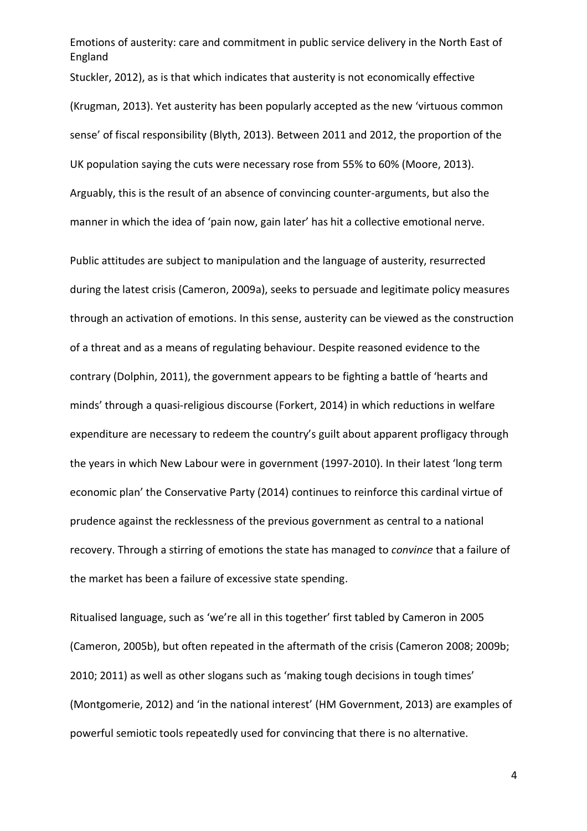Stuckler, 2012), as is that which indicates that austerity is not economically effective (Krugman, 2013). Yet austerity has been popularly accepted as the new 'virtuous common sense' of fiscal responsibility (Blyth, 2013). Between 2011 and 2012, the proportion of the UK population saying the cuts were necessary rose from 55% to 60% (Moore, 2013). Arguably, this is the result of an absence of convincing counter-arguments, but also the manner in which the idea of 'pain now, gain later' has hit a collective emotional nerve.

Public attitudes are subject to manipulation and the language of austerity, resurrected during the latest crisis (Cameron, 2009a), seeks to persuade and legitimate policy measures through an activation of emotions. In this sense, austerity can be viewed as the construction of a threat and as a means of regulating behaviour. Despite reasoned evidence to the contrary (Dolphin, 2011), the government appears to be fighting a battle of 'hearts and minds' through a quasi-religious discourse (Forkert, 2014) in which reductions in welfare expenditure are necessary to redeem the country's guilt about apparent profligacy through the years in which New Labour were in government (1997-2010). In their latest 'long term economic plan' the Conservative Party (2014) continues to reinforce this cardinal virtue of prudence against the recklessness of the previous government as central to a national recovery. Through a stirring of emotions the state has managed to *convince* that a failure of the market has been a failure of excessive state spending.

Ritualised language, such as 'we're all in this together' first tabled by Cameron in 2005 (Cameron, 2005b), but often repeated in the aftermath of the crisis (Cameron 2008; 2009b; 2010; 2011) as well as other slogans such as 'making tough decisions in tough times' (Montgomerie, 2012) and 'in the national interest' (HM Government, 2013) are examples of powerful semiotic tools repeatedly used for convincing that there is no alternative.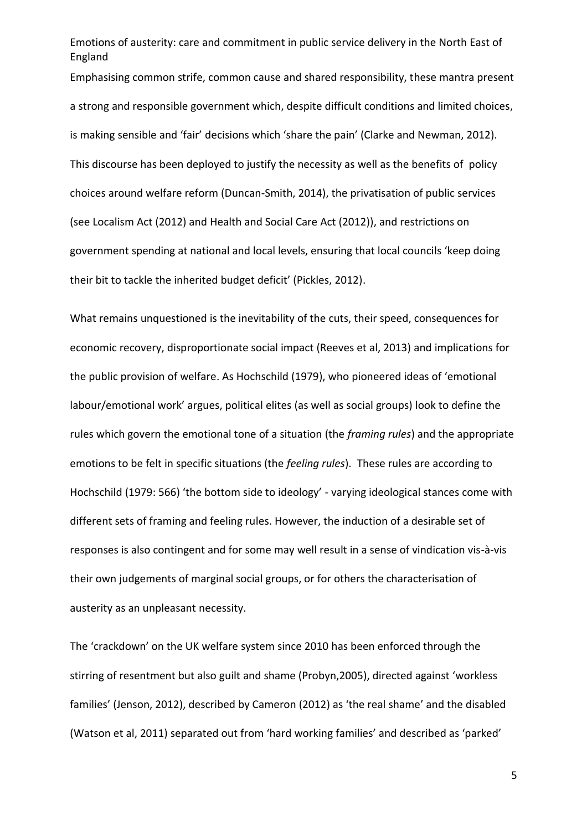Emphasising common strife, common cause and shared responsibility, these mantra present a strong and responsible government which, despite difficult conditions and limited choices, is making sensible and 'fair' decisions which 'share the pain' (Clarke and Newman, 2012). This discourse has been deployed to justify the necessity as well as the benefits of policy choices around welfare reform (Duncan-Smith, 2014), the privatisation of public services (see Localism Act (2012) and Health and Social Care Act (2012)), and restrictions on government spending at national and local levels, ensuring that local councils 'keep doing their bit to tackle the inherited budget deficit' (Pickles, 2012).

What remains unquestioned is the inevitability of the cuts, their speed, consequences for economic recovery, disproportionate social impact (Reeves et al, 2013) and implications for the public provision of welfare. As Hochschild (1979), who pioneered ideas of 'emotional labour/emotional work' argues, political elites (as well as social groups) look to define the rules which govern the emotional tone of a situation (the framing rules) and the appropriate emotions to be felt in specific situations (the *feeling rules*). These rules are according to Hochschild (1979: 566) 'the bottom side to ideology' - varying ideological stances come with different sets of framing and feeling rules. However, the induction of a desirable set of responses is also contingent and for some may well result in a sense of vindication vis-à-vis their own judgements of marginal social groups, or for others the characterisation of austerity as an unpleasant necessity.

The 'crackdown' on the UK welfare system since 2010 has been enforced through the stirring of resentment but also guilt and shame (Probyn, 2005), directed against 'workless families' (Jenson, 2012), described by Cameron (2012) as 'the real shame' and the disabled (Watson et al, 2011) separated out from 'hard working families' and described as 'parked'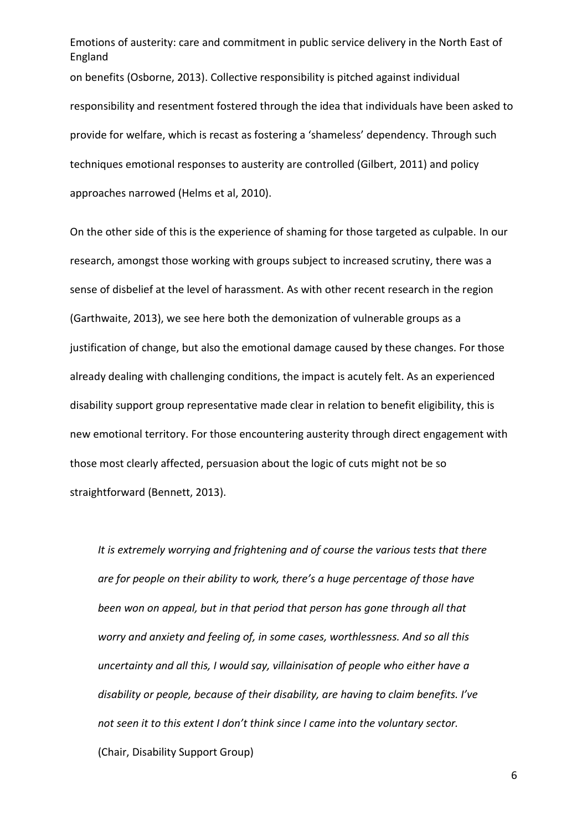on benefits (Osborne, 2013). Collective responsibility is pitched against individual responsibility and resentment fostered through the idea that individuals have been asked to provide for welfare, which is recast as fostering a 'shameless' dependency. Through such techniques emotional responses to austerity are controlled (Gilbert, 2011) and policy approaches narrowed (Helms et al, 2010).

On the other side of this is the experience of shaming for those targeted as culpable. In our research, amongst those working with groups subject to increased scrutiny, there was a sense of disbelief at the level of harassment. As with other recent research in the region (Garthwaite, 2013), we see here both the demonization of vulnerable groups as a justification of change, but also the emotional damage caused by these changes. For those already dealing with challenging conditions, the impact is acutely felt. As an experienced disability support group representative made clear in relation to benefit eligibility, this is new emotional territory. For those encountering austerity through direct engagement with those most clearly affected, persuasion about the logic of cuts might not be so straightforward (Bennett, 2013).

*It is extremely worrying and frightening and of course the various tests that there*  are for people on their ability to work, there's a huge percentage of those have *been won on appeal, but in that period that person has gone through all that worry and anxiety and feeling of, in some cases, worthlessness. And so all this uncertainty and all this, I would say, villainisation of people who either have a disability or people, because of their disability, are having to claim benefits. I've* not seen it to this extent I don't think since I came into the voluntary sector. (Chair, Disability Support Group)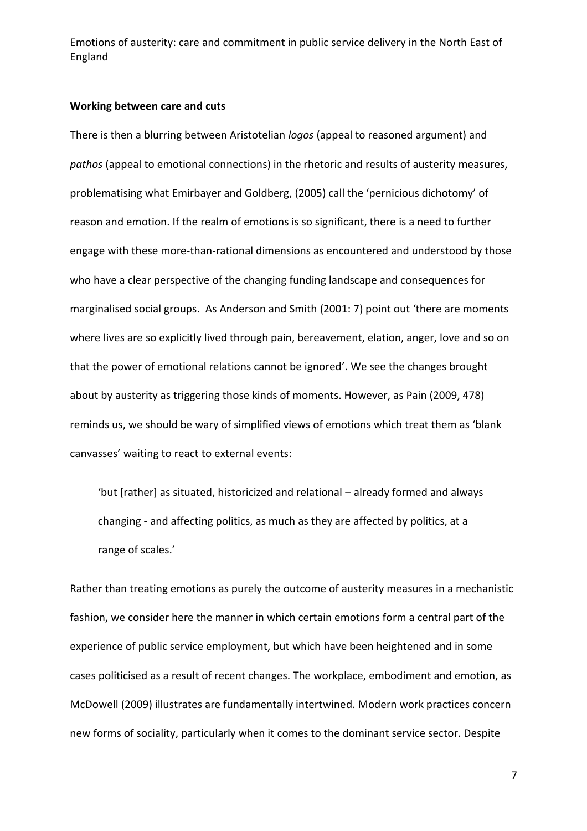#### Working between care and cuts

There is then a blurring between Aristotelian logos (appeal to reasoned argument) and pathos (appeal to emotional connections) in the rhetoric and results of austerity measures, problematising what Emirbayer and Goldberg, (2005) call the 'pernicious dichotomy' of reason and emotion. If the realm of emotions is so significant, there is a need to further engage with these more-than-rational dimensions as encountered and understood by those who have a clear perspective of the changing funding landscape and consequences for marginalised social groups. As Anderson and Smith (2001: 7) point out 'there are moments where lives are so explicitly lived through pain, bereavement, elation, anger, love and so on that the power of emotional relations cannot be ignored'. We see the changes brought about by austerity as triggering those kinds of moments. However, as Pain (2009, 478) reminds us, we should be wary of simplified views of emotions which treat them as 'blank canvasses' waiting to react to external events:

'but [rather] as situated, historicized and relational - already formed and always changing - and affecting politics, as much as they are affected by politics, at a range of scales.'

Rather than treating emotions as purely the outcome of austerity measures in a mechanistic fashion, we consider here the manner in which certain emotions form a central part of the experience of public service employment, but which have been heightened and in some cases politicised as a result of recent changes. The workplace, embodiment and emotion, as McDowell (2009) illustrates are fundamentally intertwined. Modern work practices concern new forms of sociality, particularly when it comes to the dominant service sector. Despite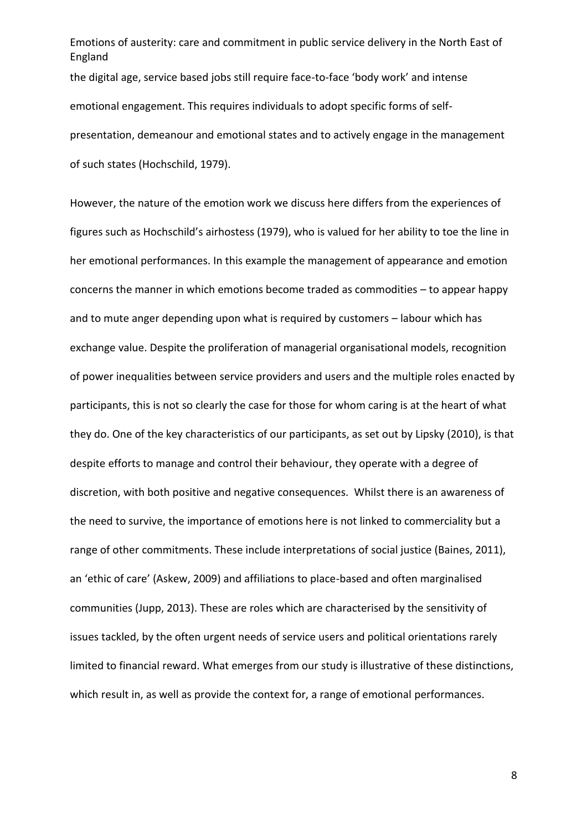Emotions of austerity: care and commitment in public service delivery in the North East of England the digital age, service based jobs still require face-to-face 'body work' and intense emotional engagement. This requires individuals to adopt specific forms of selfpresentation, demeanour and emotional states and to actively engage in the management of such states (Hochschild, 1979).

However, the nature of the emotion work we discuss here differs from the experiences of figures such as Hochschild's airhostess (1979), who is valued for her ability to toe the line in her emotional performances. In this example the management of appearance and emotion concerns the manner in which emotions become traded as commodities – to appear happy and to mute anger depending upon what is required by customers – labour which has exchange value. Despite the proliferation of managerial organisational models, recognition of power inequalities between service providers and users and the multiple roles enacted by participants, this is not so clearly the case for those for whom caring is at the heart of what they do. One of the key characteristics of our participants, as set out by Lipsky (2010), is that despite efforts to manage and control their behaviour, they operate with a degree of discretion, with both positive and negative consequences. Whilst there is an awareness of the need to survive, the importance of emotions here is not linked to commerciality but a range of other commitments. These include interpretations of social justice (Baines, 2011), an 'ethic of care' (Askew, 2009) and affiliations to place-based and often marginalised communities (Jupp, 2013). These are roles which are characterised by the sensitivity of issues tackled, by the often urgent needs of service users and political orientations rarely limited to financial reward. What emerges from our study is illustrative of these distinctions, which result in, as well as provide the context for, a range of emotional performances.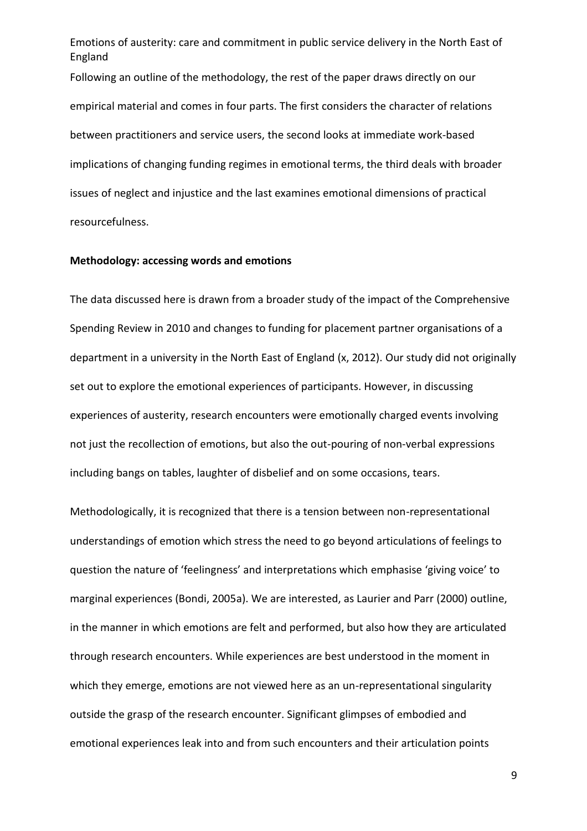Following an outline of the methodology, the rest of the paper draws directly on our empirical material and comes in four parts. The first considers the character of relations between practitioners and service users, the second looks at immediate work-based implications of changing funding regimes in emotional terms, the third deals with broader issues of neglect and injustice and the last examines emotional dimensions of practical resourcefulness.

## **Methodology: accessing words and emotions**

The data discussed here is drawn from a broader study of the impact of the Comprehensive Spending Review in 2010 and changes to funding for placement partner organisations of a department in a university in the North East of England (x, 2012). Our study did not originally set out to explore the emotional experiences of participants. However, in discussing experiences of austerity, research encounters were emotionally charged events involving not just the recollection of emotions, but also the out-pouring of non-verbal expressions including bangs on tables, laughter of disbelief and on some occasions, tears.

Methodologically, it is recognized that there is a tension between non-representational understandings of emotion which stress the need to go beyond articulations of feelings to question the nature of 'feelingness' and interpretations which emphasise 'giving voice' to marginal experiences (Bondi, 2005a). We are interested, as Laurier and Parr (2000) outline, in the manner in which emotions are felt and performed, but also how they are articulated through research encounters. While experiences are best understood in the moment in which they emerge, emotions are not viewed here as an un-representational singularity outside the grasp of the research encounter. Significant glimpses of embodied and emotional experiences leak into and from such encounters and their articulation points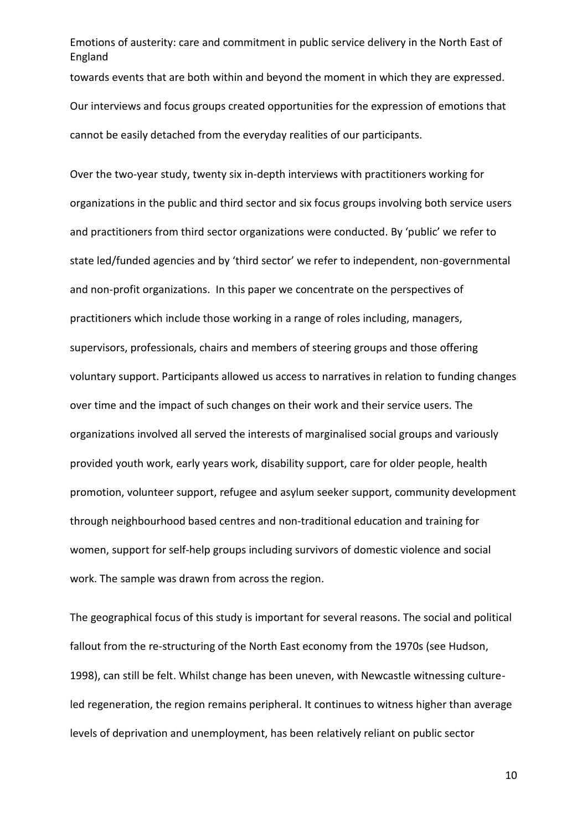towards events that are both within and beyond the moment in which they are expressed. Our interviews and focus groups created opportunities for the expression of emotions that cannot be easily detached from the everyday realities of our participants.

Over the two-year study, twenty six in-depth interviews with practitioners working for organizations in the public and third sector and six focus groups involving both service users and practitioners from third sector organizations were conducted. By 'public' we refer to state led/funded agencies and by 'third sector' we refer to independent, non-governmental and non-profit organizations. In this paper we concentrate on the perspectives of practitioners which include those working in a range of roles including, managers, supervisors, professionals, chairs and members of steering groups and those offering voluntary support. Participants allowed us access to narratives in relation to funding changes over time and the impact of such changes on their work and their service users. The organizations involved all served the interests of marginalised social groups and variously provided youth work, early years work, disability support, care for older people, health promotion, volunteer support, refugee and asylum seeker support, community development through neighbourhood based centres and non-traditional education and training for women, support for self-help groups including survivors of domestic violence and social work. The sample was drawn from across the region.

The geographical focus of this study is important for several reasons. The social and political fallout from the re-structuring of the North East economy from the 1970s (see Hudson, 1998), can still be felt. Whilst change has been uneven, with Newcastle witnessing cultureled regeneration, the region remains peripheral. It continues to witness higher than average levels of deprivation and unemployment, has been relatively reliant on public sector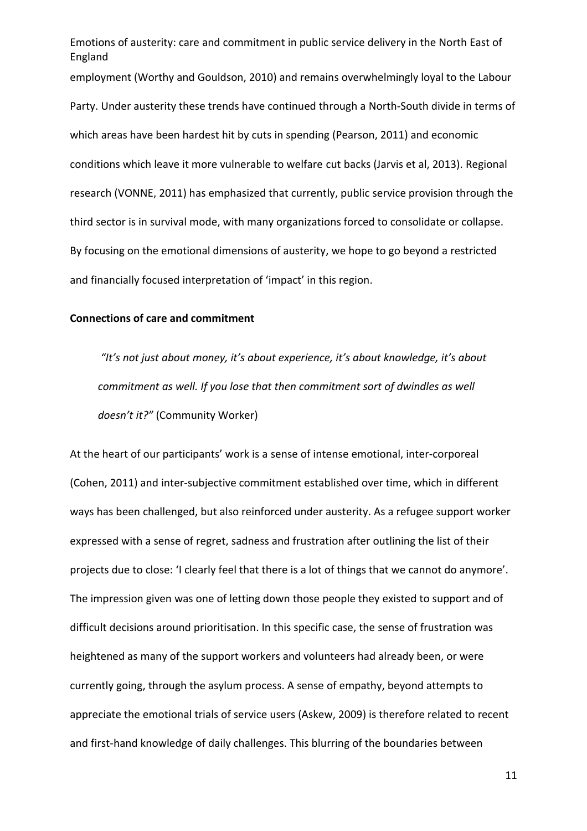employment (Worthy and Gouldson, 2010) and remains overwhelmingly loyal to the Labour Party. Under austerity these trends have continued through a North-South divide in terms of which areas have been hardest hit by cuts in spending (Pearson, 2011) and economic conditions which leave it more vulnerable to welfare cut backs (Jarvis et al, 2013). Regional research (VONNE, 2011) has emphasized that currently, public service provision through the third sector is in survival mode, with many organizations forced to consolidate or collapse. By focusing on the emotional dimensions of austerity, we hope to go beyond a restricted and financially focused interpretation of 'impact' in this region.

## **Connections of care and commitment**

"It's not just about money, it's about experience, it's about knowledge, it's about *commitment as well. If you lose that then commitment sort of dwindles as well doesn't it?"* (Community Worker)

At the heart of our participants' work is a sense of intense emotional, inter-corporeal (Cohen, 2011) and inter-subjective commitment established over time, which in different ways has been challenged, but also reinforced under austerity. As a refugee support worker expressed with a sense of regret, sadness and frustration after outlining the list of their projects due to close: 'I clearly feel that there is a lot of things that we cannot do anymore'. The impression given was one of letting down those people they existed to support and of difficult decisions around prioritisation. In this specific case, the sense of frustration was heightened as many of the support workers and volunteers had already been, or were currently going, through the asylum process. A sense of empathy, beyond attempts to appreciate the emotional trials of service users (Askew, 2009) is therefore related to recent and first-hand knowledge of daily challenges. This blurring of the boundaries between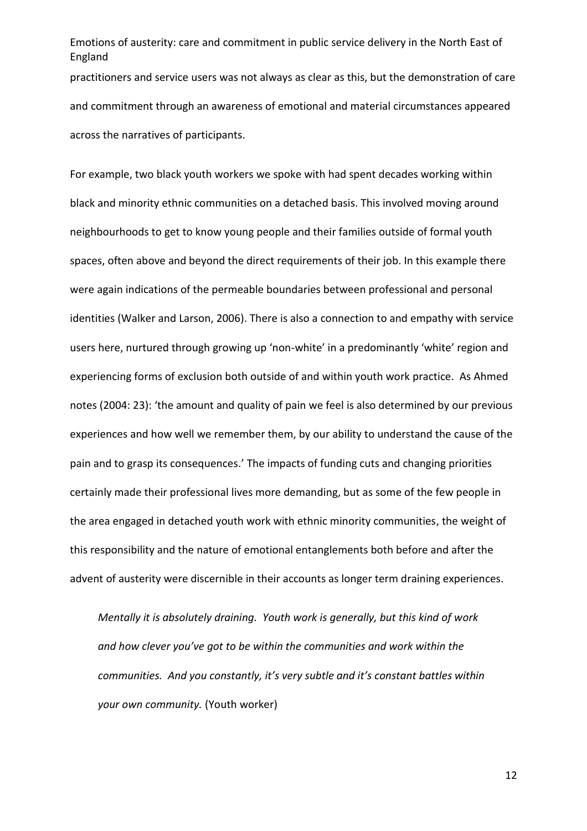practitioners and service users was not always as clear as this, but the demonstration of care and commitment through an awareness of emotional and material circumstances appeared across the narratives of participants.

For example, two black youth workers we spoke with had spent decades working within black and minority ethnic communities on a detached basis. This involved moving around neighbourhoods to get to know young people and their families outside of formal youth spaces, often above and beyond the direct requirements of their job. In this example there were again indications of the permeable boundaries between professional and personal identities (Walker and Larson, 2006). There is also a connection to and empathy with service users here, nurtured through growing up 'non-white' in a predominantly 'white' region and experiencing forms of exclusion both outside of and within youth work practice. As Ahmed notes (2004: 23): 'the amount and quality of pain we feel is also determined by our previous experiences and how well we remember them, by our ability to understand the cause of the pain and to grasp its consequences.' The impacts of funding cuts and changing priorities certainly made their professional lives more demanding, but as some of the few people in the area engaged in detached youth work with ethnic minority communities, the weight of this responsibility and the nature of emotional entanglements both before and after the advent of austerity were discernible in their accounts as longer term draining experiences.

Mentally it is absolutely draining. Youth work is generally, but this kind of work and how clever you've got to be within the communities and work within the communities. And you constantly, it's very subtle and it's constant battles within your own community. (Youth worker)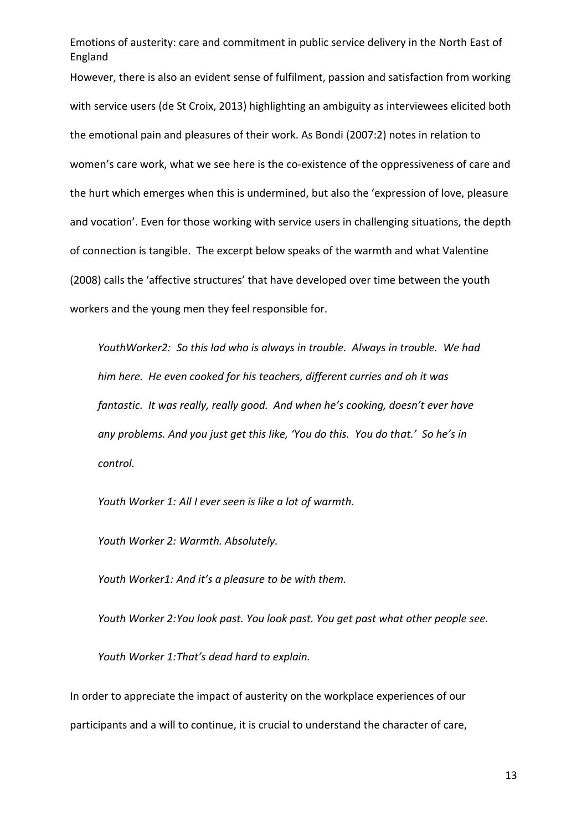However, there is also an evident sense of fulfilment, passion and satisfaction from working with service users (de St Croix, 2013) highlighting an ambiguity as interviewees elicited both the emotional pain and pleasures of their work. As Bondi (2007:2) notes in relation to women's care work, what we see here is the co-existence of the oppressiveness of care and the hurt which emerges when this is undermined, but also the 'expression of love, pleasure and vocation'. Even for those working with service users in challenging situations, the depth of connection is tangible. The excerpt below speaks of the warmth and what Valentine (2008) calls the 'affective structures' that have developed over time between the youth workers and the young men they feel responsible for.

YouthWorker2: So this lad who is always in trouble. Always in trouble. We had him here. He even cooked for his teachers, different curries and oh it was fantastic. It was really, really good. And when he's cooking, doesn't ever have any problems. And you just get this like, 'You do this. You do that.' So he's in control.

Youth Worker 1: All I ever seen is like a lot of warmth.

Youth Worker 2: Warmth. Absolutely.

Youth Worker1: And it's a pleasure to be with them.

Youth Worker 2: You look past. You look past. You get past what other people see.

Youth Worker 1: That's dead hard to explain.

In order to appreciate the impact of austerity on the workplace experiences of our participants and a will to continue, it is crucial to understand the character of care,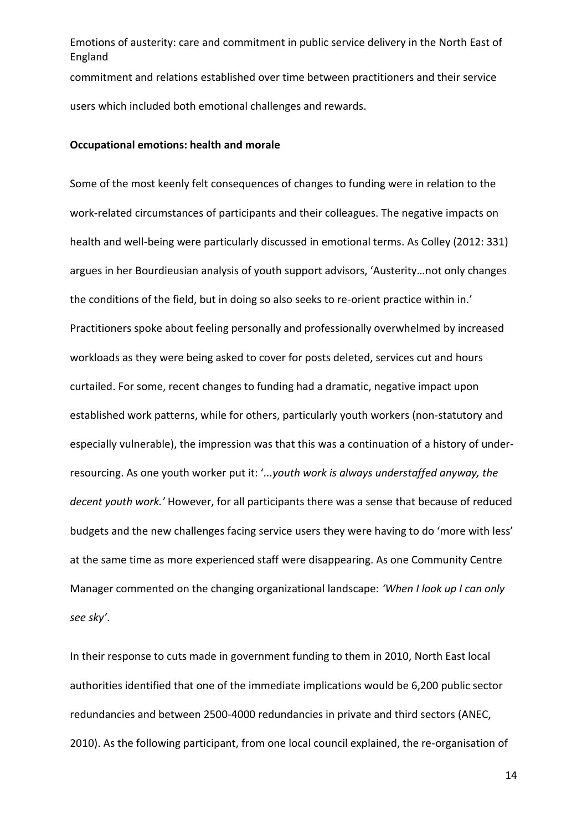Emotions of austerity: care and commitment in public service delivery in the North East of England commitment and relations established over time between practitioners and their service users which included both emotional challenges and rewards.

#### **Occupational emotions: health and morale**

Some of the most keenly felt consequences of changes to funding were in relation to the work-related circumstances of participants and their colleagues. The negative impacts on health and well-being were particularly discussed in emotional terms. As Colley (2012: 331) argues in her Bourdieusian analysis of youth support advisors, 'Austerity...not only changes the conditions of the field, but in doing so also seeks to re-orient practice within in.' Practitioners spoke about feeling personally and professionally overwhelmed by increased workloads as they were being asked to cover for posts deleted, services cut and hours curtailed. For some, recent changes to funding had a dramatic, negative impact upon established work patterns, while for others, particularly youth workers (non-statutory and especially vulnerable), the impression was that this was a continuation of a history of underresourcing. As one youth worker put it: '...youth work is always understaffed anyway, the *decent youth work.* 'However, for all participants there was a sense that because of reduced budgets and the new challenges facing service users they were having to do 'more with less' at the same time as more experienced staff were disappearing. As one Community Centre Manager commented on the changing organizational landscape: 'When I look up I can only see sky'.

In their response to cuts made in government funding to them in 2010, North East local authorities identified that one of the immediate implications would be 6,200 public sector redundancies and between 2500-4000 redundancies in private and third sectors (ANEC, 2010). As the following participant, from one local council explained, the re-organisation of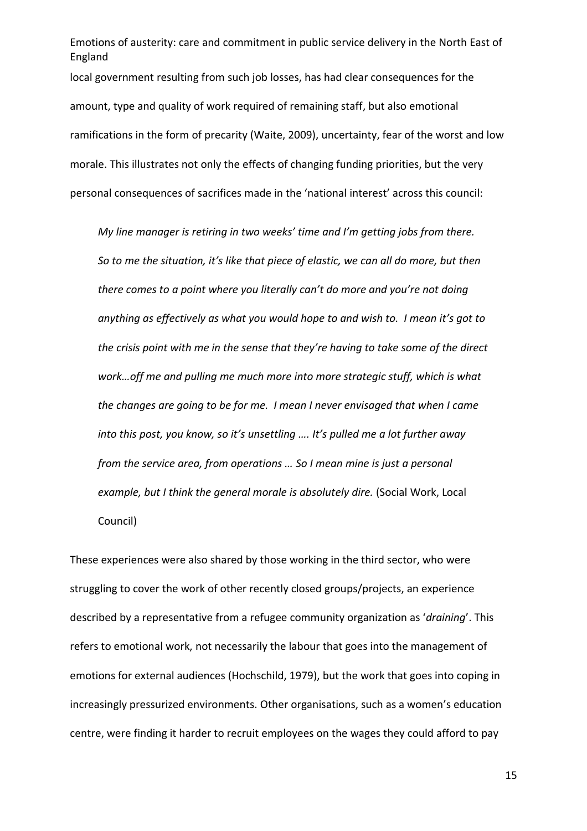local government resulting from such job losses, has had clear consequences for the amount, type and quality of work required of remaining staff, but also emotional ramifications in the form of precarity (Waite, 2009), uncertainty, fear of the worst and low morale. This illustrates not only the effects of changing funding priorities, but the very personal consequences of sacrifices made in the 'national interest' across this council:

My line manager is retiring in two weeks' time and I'm getting jobs from there. So to me the situation, it's like that piece of elastic, we can all do more, but then there comes to a point where you literally can't do more and you're not doing anything as effectively as what you would hope to and wish to. I mean it's got to the crisis point with me in the sense that they're having to take some of the direct work...off me and pulling me much more into more strategic stuff, which is what the changes are going to be for me. I mean I never envisaged that when I came into this post, you know, so it's unsettling .... It's pulled me a lot further away from the service area, from operations ... So I mean mine is just a personal example, but I think the general morale is absolutely dire. (Social Work, Local Council)

These experiences were also shared by those working in the third sector, who were struggling to cover the work of other recently closed groups/projects, an experience described by a representative from a refugee community organization as 'draining'. This refers to emotional work, not necessarily the labour that goes into the management of emotions for external audiences (Hochschild, 1979), but the work that goes into coping in increasingly pressurized environments. Other organisations, such as a women's education centre, were finding it harder to recruit employees on the wages they could afford to pay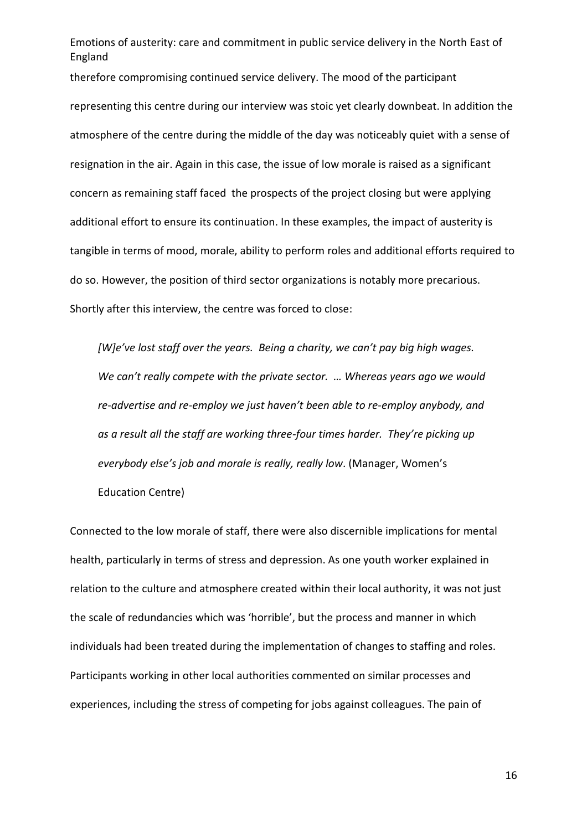therefore compromising continued service delivery. The mood of the participant representing this centre during our interview was stoic yet clearly downbeat. In addition the atmosphere of the centre during the middle of the day was noticeably quiet with a sense of resignation in the air. Again in this case, the issue of low morale is raised as a significant concern as remaining staff faced the prospects of the project closing but were applying additional effort to ensure its continuation. In these examples, the impact of austerity is tangible in terms of mood, morale, ability to perform roles and additional efforts required to do so. However, the position of third sector organizations is notably more precarious. Shortly after this interview, the centre was forced to close:

[W]e've lost staff over the years. Being a charity, we can't pay big high wages. We can't really compete with the private sector. ... Whereas years ago we would re-advertise and re-employ we just haven't been able to re-employ anybody, and as a result all the staff are working three-four times harder. They're picking up everybody else's job and morale is really, really low. (Manager, Women's **Education Centre)** 

Connected to the low morale of staff, there were also discernible implications for mental health, particularly in terms of stress and depression. As one youth worker explained in relation to the culture and atmosphere created within their local authority, it was not just the scale of redundancies which was 'horrible', but the process and manner in which individuals had been treated during the implementation of changes to staffing and roles. Participants working in other local authorities commented on similar processes and experiences, including the stress of competing for jobs against colleagues. The pain of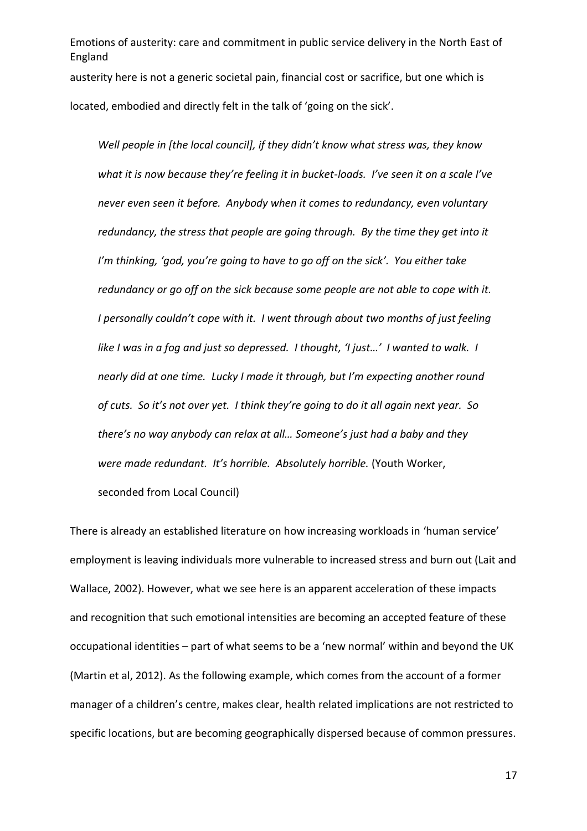Emotions of austerity: care and commitment in public service delivery in the North East of England austerity here is not a generic societal pain, financial cost or sacrifice, but one which is located, embodied and directly felt in the talk of 'going on the sick'.

Well people in [the local council], if they didn't know what stress was, they know what it is now because they're feeling it in bucket-loads. I've seen it on a scale I've never even seen it before. Anybody when it comes to redundancy, even voluntary redundancy, the stress that people are going through. By the time they get into it I'm thinking, 'god, you're going to have to go off on the sick'. You either take redundancy or go off on the sick because some people are not able to cope with it. I personally couldn't cope with it. I went through about two months of just feeling like I was in a fog and just so depressed. I thought, 'I just...' I wanted to walk. I nearly did at one time. Lucky I made it through, but I'm expecting another round of cuts. So it's not over yet. I think they're going to do it all again next year. So there's no way anybody can relax at all... Someone's just had a baby and they were made redundant. It's horrible. Absolutely horrible. (Youth Worker, seconded from Local Council)

There is already an established literature on how increasing workloads in 'human service' employment is leaving individuals more vulnerable to increased stress and burn out (Lait and Wallace, 2002). However, what we see here is an apparent acceleration of these impacts and recognition that such emotional intensities are becoming an accepted feature of these occupational identities - part of what seems to be a 'new normal' within and beyond the UK (Martin et al, 2012). As the following example, which comes from the account of a former manager of a children's centre, makes clear, health related implications are not restricted to specific locations, but are becoming geographically dispersed because of common pressures.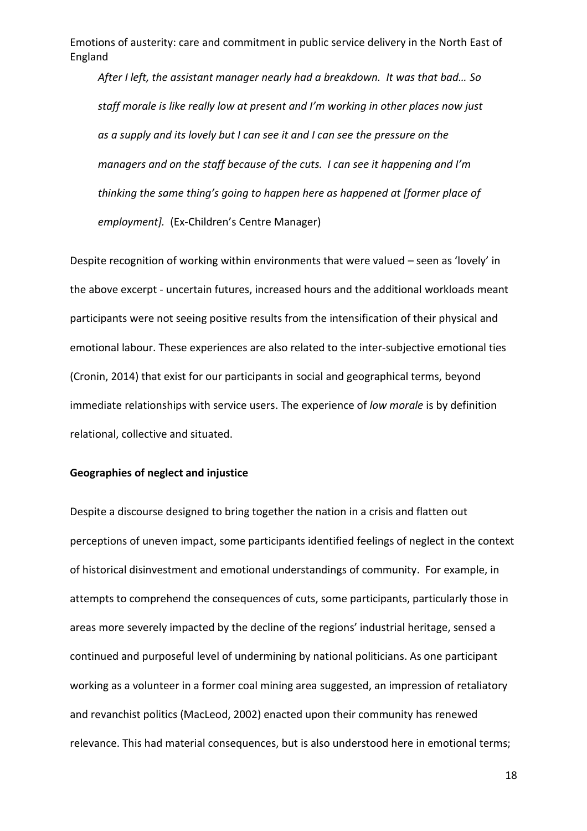After I left, the assistant manager nearly had a breakdown. It was that bad... So staff morale is like really low at present and I'm working in other places now just as a supply and its lovely but I can see it and I can see the pressure on the managers and on the staff because of the cuts. I can see it happening and I'm thinking the same thing's going to happen here as happened at [former place of employment]. (Ex-Children's Centre Manager)

Despite recognition of working within environments that were valued - seen as 'lovely' in the above excerpt - uncertain futures, increased hours and the additional workloads meant participants were not seeing positive results from the intensification of their physical and emotional labour. These experiences are also related to the inter-subjective emotional ties (Cronin, 2014) that exist for our participants in social and geographical terms, beyond immediate relationships with service users. The experience of low morale is by definition relational, collective and situated.

# Geographies of neglect and injustice

Despite a discourse designed to bring together the nation in a crisis and flatten out perceptions of uneven impact, some participants identified feelings of neglect in the context of historical disinvestment and emotional understandings of community. For example, in attempts to comprehend the consequences of cuts, some participants, particularly those in areas more severely impacted by the decline of the regions' industrial heritage, sensed a continued and purposeful level of undermining by national politicians. As one participant working as a volunteer in a former coal mining area suggested, an impression of retaliatory and revanchist politics (MacLeod, 2002) enacted upon their community has renewed relevance. This had material consequences, but is also understood here in emotional terms;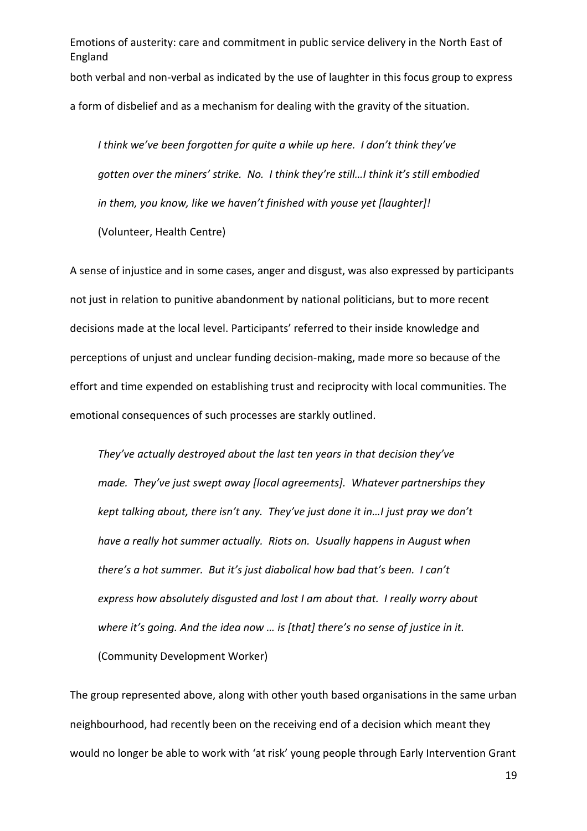Emotions of austerity: care and commitment in public service delivery in the North East of England both verbal and non-verbal as indicated by the use of laughter in this focus group to express a form of disbelief and as a mechanism for dealing with the gravity of the situation.

I think we've been forgotten for quite a while up here. I don't think they've gotten over the miners' strike. No. I think they're still...I think it's still embodied in them, you know, like we haven't finished with youse yet [laughter]! (Volunteer, Health Centre)

A sense of injustice and in some cases, anger and disgust, was also expressed by participants not just in relation to punitive abandonment by national politicians, but to more recent decisions made at the local level. Participants' referred to their inside knowledge and perceptions of unjust and unclear funding decision-making, made more so because of the effort and time expended on establishing trust and reciprocity with local communities. The emotional consequences of such processes are starkly outlined.

They've actually destroyed about the last ten years in that decision they've made. They've just swept away [local agreements]. Whatever partnerships they kept talking about, there isn't any. They've just done it in...I just pray we don't have a really hot summer actually. Riots on. Usually happens in August when there's a hot summer. But it's just diabolical how bad that's been. I can't express how absolutely disgusted and lost I am about that. I really worry about where it's going. And the idea now ... is [that] there's no sense of justice in it. (Community Development Worker)

The group represented above, along with other youth based organisations in the same urban neighbourhood, had recently been on the receiving end of a decision which meant they would no longer be able to work with 'at risk' young people through Early Intervention Grant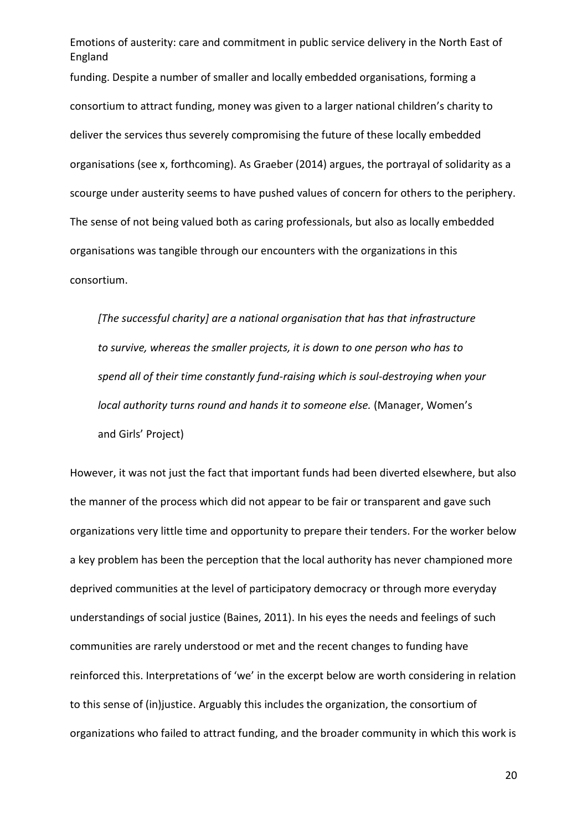funding. Despite a number of smaller and locally embedded organisations, forming a consortium to attract funding, money was given to a larger national children's charity to deliver the services thus severely compromising the future of these locally embedded organisations (see x, forthcoming). As Graeber (2014) argues, the portrayal of solidarity as a scourge under austerity seems to have pushed values of concern for others to the periphery. The sense of not being valued both as caring professionals, but also as locally embedded organisations was tangible through our encounters with the organizations in this consortium.

*[The successful charity] are a national organisation that has that infrastructure to survive, whereas the smaller projects, it is down to one person who has to spend all of their time constantly fund-raising which is soul-destroying when your local authority turns round and hands it to someone else.* (Manager, Women's and Girls' Project)

However, it was not just the fact that important funds had been diverted elsewhere, but also the manner of the process which did not appear to be fair or transparent and gave such organizations very little time and opportunity to prepare their tenders. For the worker below a key problem has been the perception that the local authority has never championed more deprived communities at the level of participatory democracy or through more everyday understandings of social justice (Baines, 2011). In his eyes the needs and feelings of such communities are rarely understood or met and the recent changes to funding have reinforced this. Interpretations of 'we' in the excerpt below are worth considering in relation to this sense of (in)justice. Arguably this includes the organization, the consortium of organizations who failed to attract funding, and the broader community in which this work is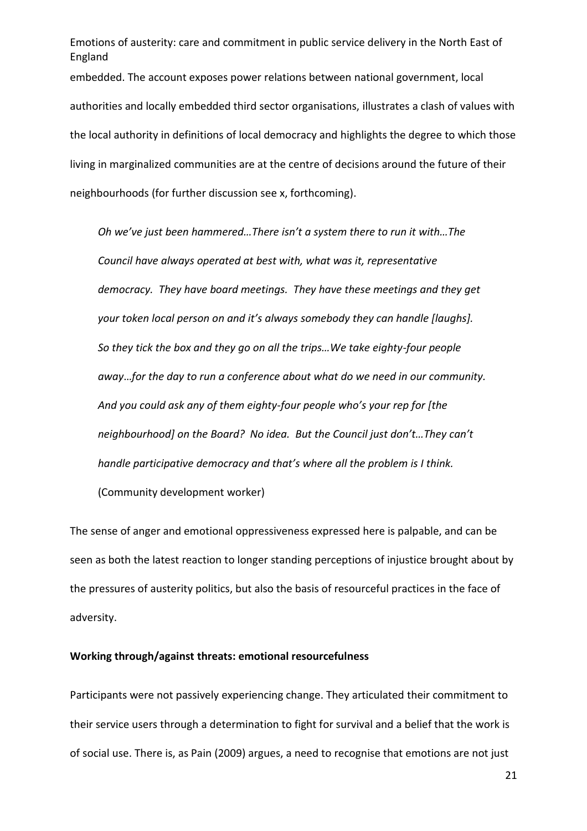embedded. The account exposes power relations between national government, local authorities and locally embedded third sector organisations, illustrates a clash of values with the local authority in definitions of local democracy and highlights the degree to which those living in marginalized communities are at the centre of decisions around the future of their neighbourhoods (for further discussion see x, forthcoming).

Oh we've just been hammered...There isn't a system there to run it with...The Council have always operated at best with, what was it, representative democracy. They have board meetings. They have these meetings and they get your token local person on and it's always somebody they can handle [laughs]. So they tick the box and they go on all the trips... We take eighty-four people away...for the day to run a conference about what do we need in our community. And you could ask any of them eighty-four people who's your rep for [the neighbourhood] on the Board? No idea. But the Council just don't...They can't handle participative democracy and that's where all the problem is I think. (Community development worker)

The sense of anger and emotional oppressiveness expressed here is palpable, and can be seen as both the latest reaction to longer standing perceptions of injustice brought about by the pressures of austerity politics, but also the basis of resourceful practices in the face of adversity.

## Working through/against threats: emotional resourcefulness

Participants were not passively experiencing change. They articulated their commitment to their service users through a determination to fight for survival and a belief that the work is of social use. There is, as Pain (2009) argues, a need to recognise that emotions are not just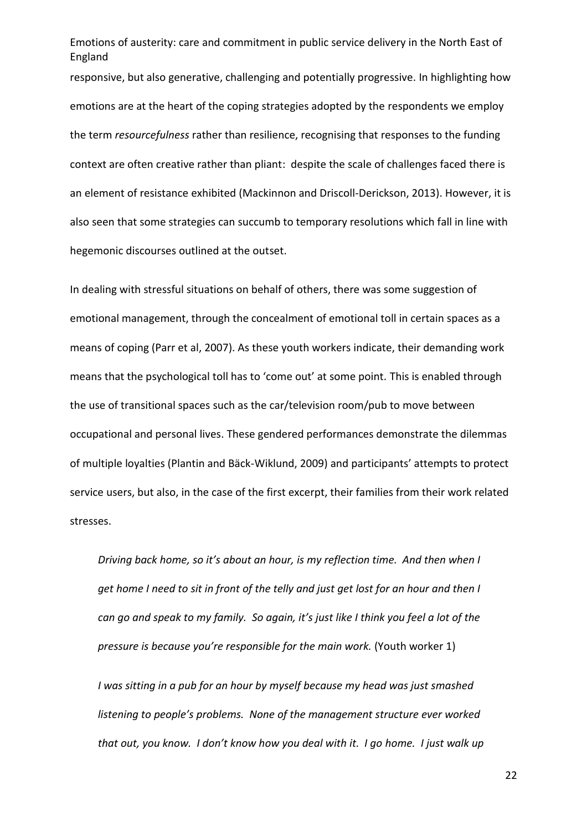responsive, but also generative, challenging and potentially progressive. In highlighting how emotions are at the heart of the coping strategies adopted by the respondents we employ the term resourcefulness rather than resilience, recognising that responses to the funding context are often creative rather than pliant: despite the scale of challenges faced there is an element of resistance exhibited (Mackinnon and Driscoll-Derickson, 2013). However, it is also seen that some strategies can succumb to temporary resolutions which fall in line with hegemonic discourses outlined at the outset.

In dealing with stressful situations on behalf of others, there was some suggestion of emotional management, through the concealment of emotional toll in certain spaces as a means of coping (Parr et al, 2007). As these youth workers indicate, their demanding work means that the psychological toll has to 'come out' at some point. This is enabled through the use of transitional spaces such as the car/television room/pub to move between occupational and personal lives. These gendered performances demonstrate the dilemmas of multiple loyalties (Plantin and Bäck-Wiklund, 2009) and participants' attempts to protect service users, but also, in the case of the first excerpt, their families from their work related stresses.

Driving back home, so it's about an hour, is my reflection time. And then when I get home I need to sit in front of the telly and just get lost for an hour and then I can go and speak to my family. So again, it's just like I think you feel a lot of the pressure is because you're responsible for the main work. (Youth worker 1)

I was sitting in a pub for an hour by myself because my head was just smashed listening to people's problems. None of the management structure ever worked that out, you know. I don't know how you deal with it. I go home. I just walk up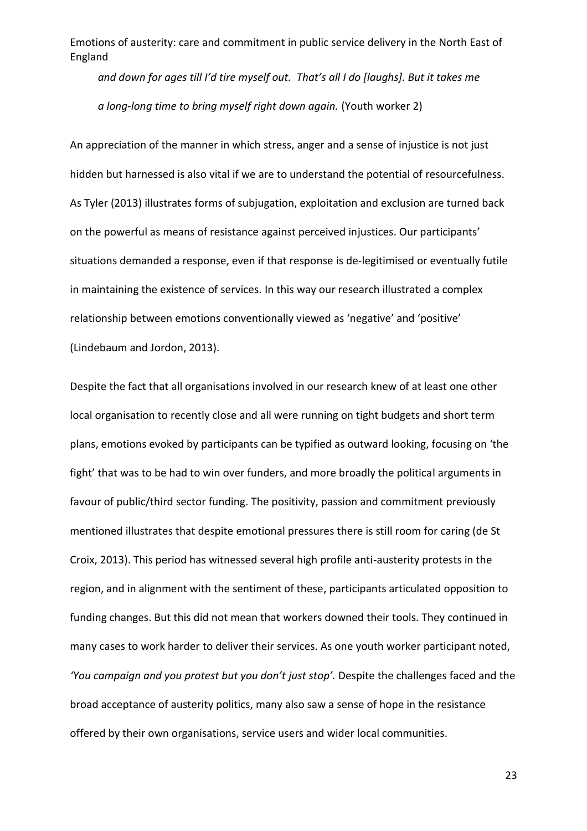and down for ages till I'd tire myself out. That's all I do [laughs]. But it takes me a long-long time to bring myself right down again. (Youth worker 2)

An appreciation of the manner in which stress, anger and a sense of injustice is not just hidden but harnessed is also vital if we are to understand the potential of resourcefulness. As Tyler (2013) illustrates forms of subjugation, exploitation and exclusion are turned back on the powerful as means of resistance against perceived injustices. Our participants' situations demanded a response, even if that response is de-legitimised or eventually futile in maintaining the existence of services. In this way our research illustrated a complex relationship between emotions conventionally viewed as 'negative' and 'positive' (Lindebaum and Jordon, 2013).

Despite the fact that all organisations involved in our research knew of at least one other local organisation to recently close and all were running on tight budgets and short term plans, emotions evoked by participants can be typified as outward looking, focusing on 'the fight' that was to be had to win over funders, and more broadly the political arguments in favour of public/third sector funding. The positivity, passion and commitment previously mentioned illustrates that despite emotional pressures there is still room for caring (de St Croix, 2013). This period has witnessed several high profile anti-austerity protests in the region, and in alignment with the sentiment of these, participants articulated opposition to funding changes. But this did not mean that workers downed their tools. They continued in many cases to work harder to deliver their services. As one youth worker participant noted, 'You campaign and you protest but you don't just stop'. Despite the challenges faced and the broad acceptance of austerity politics, many also saw a sense of hope in the resistance offered by their own organisations, service users and wider local communities.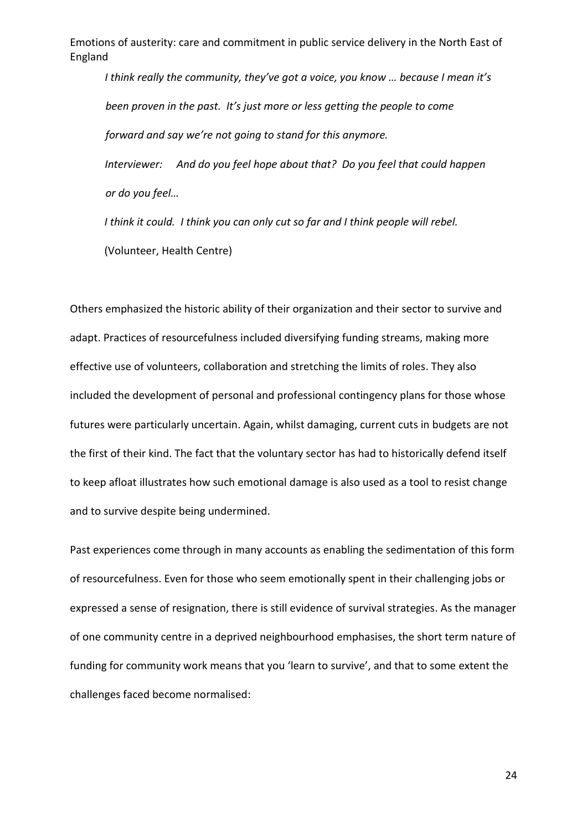I think really the community, they've got a voice, you know ... because I mean it's been proven in the past. It's just more or less getting the people to come forward and say we're not going to stand for this anymore. Interviewer: And do you feel hope about that? Do you feel that could happen or do you feel...

I think it could. I think you can only cut so far and I think people will rebel. (Volunteer, Health Centre)

Others emphasized the historic ability of their organization and their sector to survive and adapt. Practices of resourcefulness included diversifying funding streams, making more effective use of volunteers, collaboration and stretching the limits of roles. They also included the development of personal and professional contingency plans for those whose futures were particularly uncertain. Again, whilst damaging, current cuts in budgets are not the first of their kind. The fact that the voluntary sector has had to historically defend itself to keep afloat illustrates how such emotional damage is also used as a tool to resist change and to survive despite being undermined.

Past experiences come through in many accounts as enabling the sedimentation of this form of resourcefulness. Even for those who seem emotionally spent in their challenging jobs or expressed a sense of resignation, there is still evidence of survival strategies. As the manager of one community centre in a deprived neighbourhood emphasises, the short term nature of funding for community work means that you 'learn to survive', and that to some extent the challenges faced become normalised: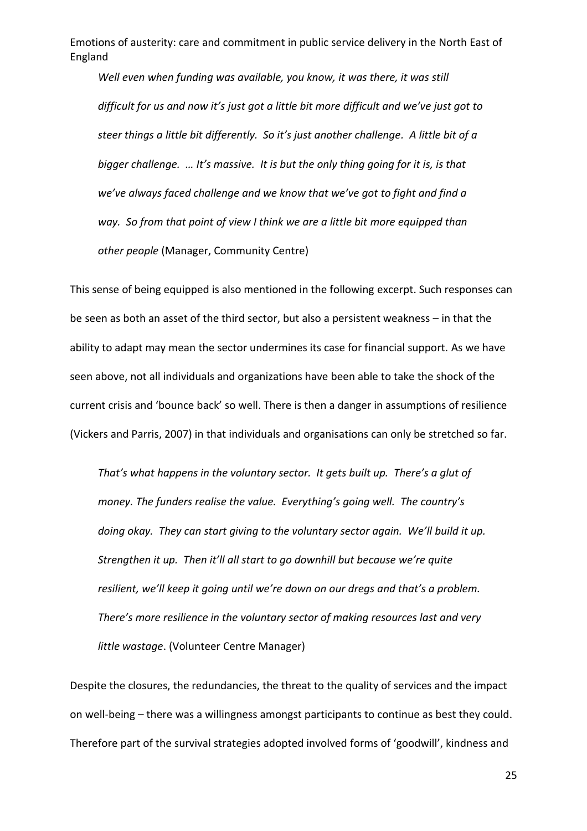Well even when funding was available, you know, it was there, it was still difficult for us and now it's just got a little bit more difficult and we've just got to steer things a little bit differently. So it's just another challenge. A little bit of a bigger challenge. ... It's massive. It is but the only thing going for it is, is that we've always faced challenge and we know that we've got to fight and find a way. So from that point of view I think we are a little bit more equipped than other people (Manager, Community Centre)

This sense of being equipped is also mentioned in the following excerpt. Such responses can be seen as both an asset of the third sector, but also a persistent weakness - in that the ability to adapt may mean the sector undermines its case for financial support. As we have seen above, not all individuals and organizations have been able to take the shock of the current crisis and 'bounce back' so well. There is then a danger in assumptions of resilience (Vickers and Parris, 2007) in that individuals and organisations can only be stretched so far.

That's what happens in the voluntary sector. It gets built up. There's a glut of money. The funders realise the value. Everything's going well. The country's doing okay. They can start giving to the voluntary sector again. We'll build it up. Strengthen it up. Then it'll all start to go downhill but because we're quite resilient, we'll keep it going until we're down on our dregs and that's a problem. There's more resilience in the voluntary sector of making resources last and very little wastage. (Volunteer Centre Manager)

Despite the closures, the redundancies, the threat to the quality of services and the impact on well-being - there was a willingness amongst participants to continue as best they could. Therefore part of the survival strategies adopted involved forms of 'goodwill', kindness and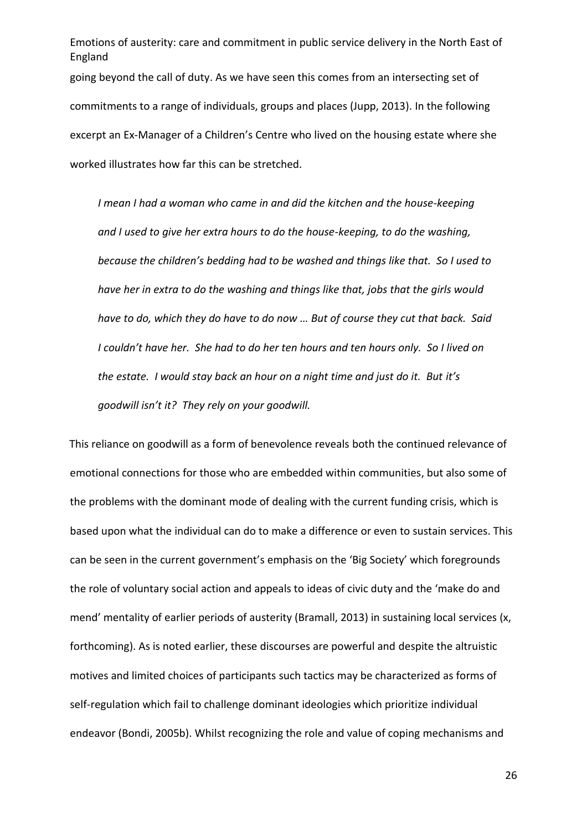Emotions of austerity: care and commitment in public service delivery in the North East of England going beyond the call of duty. As we have seen this comes from an intersecting set of commitments to a range of individuals, groups and places (Jupp, 2013). In the following excerpt an Ex-Manager of a Children's Centre who lived on the housing estate where she worked illustrates how far this can be stretched.

I mean I had a woman who came in and did the kitchen and the house-keeping and I used to give her extra hours to do the house-keeping, to do the washing, because the children's bedding had to be washed and things like that. So I used to have her in extra to do the washing and things like that, jobs that the girls would have to do, which they do have to do now ... But of course they cut that back. Said I couldn't have her. She had to do her ten hours and ten hours only. So I lived on the estate. I would stay back an hour on a night time and just do it. But it's goodwill isn't it? They rely on your goodwill.

This reliance on goodwill as a form of benevolence reveals both the continued relevance of emotional connections for those who are embedded within communities, but also some of the problems with the dominant mode of dealing with the current funding crisis, which is based upon what the individual can do to make a difference or even to sustain services. This can be seen in the current government's emphasis on the 'Big Society' which foregrounds the role of voluntary social action and appeals to ideas of civic duty and the 'make do and mend' mentality of earlier periods of austerity (Bramall, 2013) in sustaining local services (x, forthcoming). As is noted earlier, these discourses are powerful and despite the altruistic motives and limited choices of participants such tactics may be characterized as forms of self-regulation which fail to challenge dominant ideologies which prioritize individual endeavor (Bondi, 2005b). Whilst recognizing the role and value of coping mechanisms and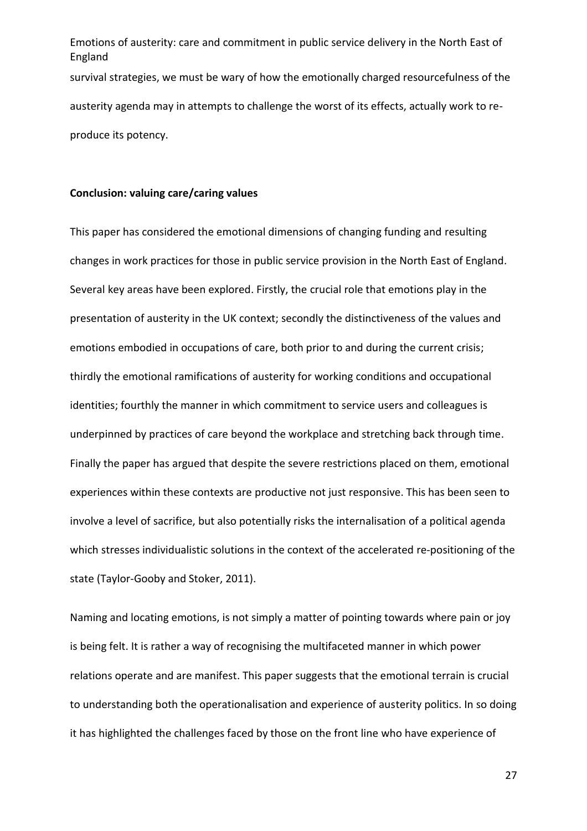Emotions of austerity: care and commitment in public service delivery in the North East of England survival strategies, we must be wary of how the emotionally charged resourcefulness of the austerity agenda may in attempts to challenge the worst of its effects, actually work to reproduce its potency.

# **Conclusion: valuing care/caring values**

This paper has considered the emotional dimensions of changing funding and resulting changes in work practices for those in public service provision in the North East of England. Several key areas have been explored. Firstly, the crucial role that emotions play in the presentation of austerity in the UK context; secondly the distinctiveness of the values and emotions embodied in occupations of care, both prior to and during the current crisis; thirdly the emotional ramifications of austerity for working conditions and occupational identities; fourthly the manner in which commitment to service users and colleagues is underpinned by practices of care beyond the workplace and stretching back through time. Finally the paper has argued that despite the severe restrictions placed on them, emotional experiences within these contexts are productive not just responsive. This has been seen to involve a level of sacrifice, but also potentially risks the internalisation of a political agenda which stresses individualistic solutions in the context of the accelerated re-positioning of the state (Taylor-Gooby and Stoker, 2011).

Naming and locating emotions, is not simply a matter of pointing towards where pain or joy is being felt. It is rather a way of recognising the multifaceted manner in which power relations operate and are manifest. This paper suggests that the emotional terrain is crucial to understanding both the operationalisation and experience of austerity politics. In so doing it has highlighted the challenges faced by those on the front line who have experience of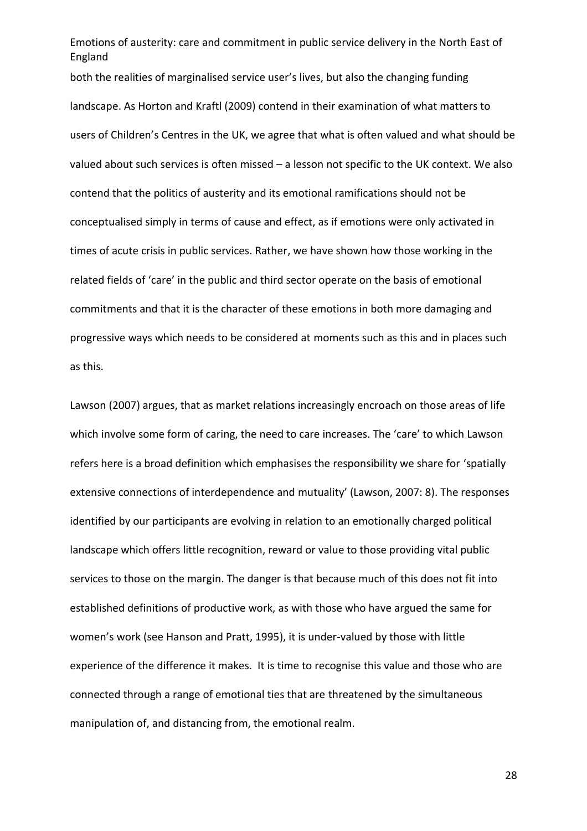both the realities of marginalised service user's lives, but also the changing funding landscape. As Horton and Kraftl (2009) contend in their examination of what matters to users of Children's Centres in the UK, we agree that what is often valued and what should be valued about such services is often missed - a lesson not specific to the UK context. We also contend that the politics of austerity and its emotional ramifications should not be conceptualised simply in terms of cause and effect, as if emotions were only activated in times of acute crisis in public services. Rather, we have shown how those working in the related fields of 'care' in the public and third sector operate on the basis of emotional commitments and that it is the character of these emotions in both more damaging and progressive ways which needs to be considered at moments such as this and in places such as this.

Lawson (2007) argues, that as market relations increasingly encroach on those areas of life which involve some form of caring, the need to care increases. The 'care' to which Lawson refers here is a broad definition which emphasises the responsibility we share for 'spatially extensive connections of interdependence and mutuality' (Lawson, 2007: 8). The responses identified by our participants are evolving in relation to an emotionally charged political landscape which offers little recognition, reward or value to those providing vital public services to those on the margin. The danger is that because much of this does not fit into established definitions of productive work, as with those who have argued the same for women's work (see Hanson and Pratt, 1995), it is under-valued by those with little experience of the difference it makes. It is time to recognise this value and those who are connected through a range of emotional ties that are threatened by the simultaneous manipulation of, and distancing from, the emotional realm.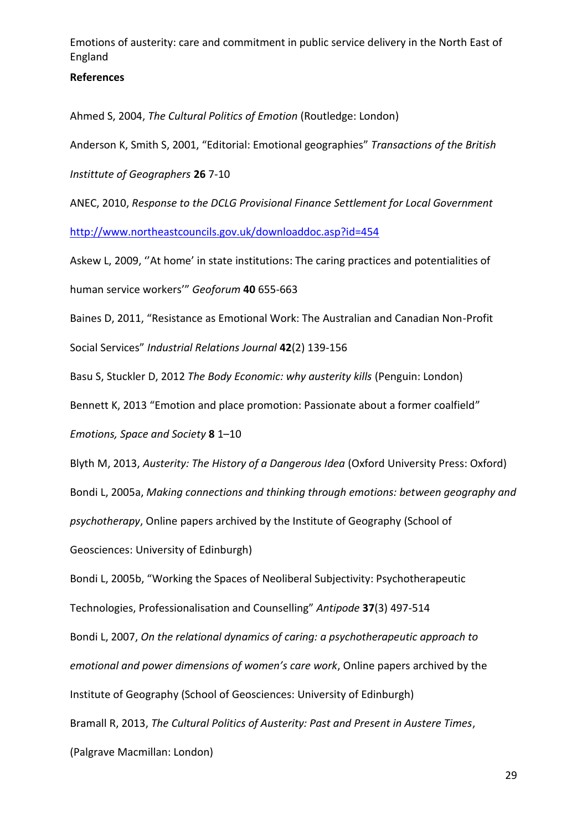# **References**

Ahmed S, 2004, *The Cultural Politics of Emotion* (Routledge: London)

Anderson K, Smith S, 2001, "Editorial: Emotional geographies" Transactions of the British

*Instittute of Geographers* **26** 7-10

ANEC, 2010, *Response to the DCLG Provisional Finance Settlement for Local Government* <http://www.northeastcouncils.gov.uk/downloaddoc.asp?id=454>

Askew L, 2009, "At home' in state institutions: The caring practices and potentialities of human service workers<sup>"</sup> Geoforum 40 655-663

Baines D, 2011, "Resistance as Emotional Work: The Australian and Canadian Non-Profit

Social Services" Industrial Relations Journal **42**(2) 139-156

Basu S, Stuckler D, 2012 *The Body Economic: why austerity kills* (Penguin: London)

Bennett K, 2013 "Emotion and place promotion: Passionate about a former coalfield"

*Emotions, Space and Society* **8** 1–10

Blyth M, 2013, *Austerity: The History of a Dangerous Idea* (Oxford University Press: Oxford)

Bondi L, 2005a, *Making connections and thinking through emotions: between geography and* 

*psychotherapy*, Online papers archived by the Institute of Geography (School of

Geosciences: University of Edinburgh)

Bondi L, 2005b, "Working the Spaces of Neoliberal Subjectivity: Psychotherapeutic

Technologies, Professionalisation and Counselling͟ *Antipode* **37**(3) 497-514

Bondi L, 2007, *On the relational dynamics of caring: a psychotherapeutic approach to* 

*emotional and power dimensions of women's care work*, Online papers archived by the

Institute of Geography (School of Geosciences: University of Edinburgh)

Bramall R, 2013, *The Cultural Politics of Austerity: Past and Present in Austere Times*,

(Palgrave Macmillan: London)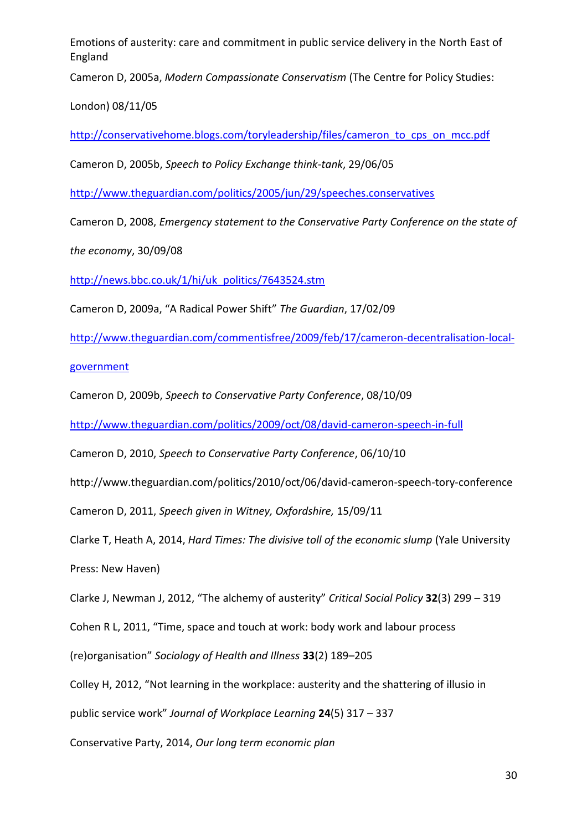Cameron D, 2005a, *Modern Compassionate Conservatism* (The Centre for Policy Studies:

London) 08/11/05

[http://conservativehome.blogs.com/toryleadership/files/cameron\\_to\\_cps\\_on\\_mcc.pdf](http://conservativehome.blogs.com/toryleadership/files/cameron_to_cps_on_mcc.pdf)

Cameron D, 2005b, *Speech to Policy Exchange think-tank*, 29/06/05

<http://www.theguardian.com/politics/2005/jun/29/speeches.conservatives>

Cameron D, 2008, *Emergency statement to the Conservative Party Conference on the state of* 

*the economy*, 30/09/08

[http://news.bbc.co.uk/1/hi/uk\\_politics/7643524.stm](http://news.bbc.co.uk/1/hi/uk_politics/7643524.stm)

Cameron D, 2009a, "A Radical Power Shift" The Guardian, 17/02/09

[http://www.theguardian.com/commentisfree/2009/feb/17/cameron-decentralisation-local-](http://www.theguardian.com/commentisfree/2009/feb/17/cameron-decentralisation-local-government)

[government](http://www.theguardian.com/commentisfree/2009/feb/17/cameron-decentralisation-local-government) 

Cameron D, 2009b, *Speech to Conservative Party Conference*, 08/10/09

http://www.theguardian.com/politics/2009/oct/08/david-cameron-speech-in-full

Cameron D, 2010, *Speech to Conservative Party Conference*, 06/10/10

http://www.theguardian.com/politics/2010/oct/06/david-cameron-speech-tory-conference

Cameron D, 2011, *Speech given in Witney, Oxfordshire,* 15/09/11

Clarke T, Heath A, 2014, *Hard Times: The divisive toll of the economic slump* (Yale University

Press: New Haven)

Clarke J, Newman J, 2012, "The alchemy of austerity" *Critical Social Policy* 32(3) 299 – 319

Cohen R L, 2011, "Time, space and touch at work: body work and labour process

(re)organisation͟ *Sociology of Health and Illness* **33**(2) 189–205

Colley H, 2012, "Not learning in the workplace: austerity and the shattering of illusio in

public service work͟ *Journal of Workplace Learning* **24**(5) 317 – 337

Conservative Party, 2014, *Our long term economic plan*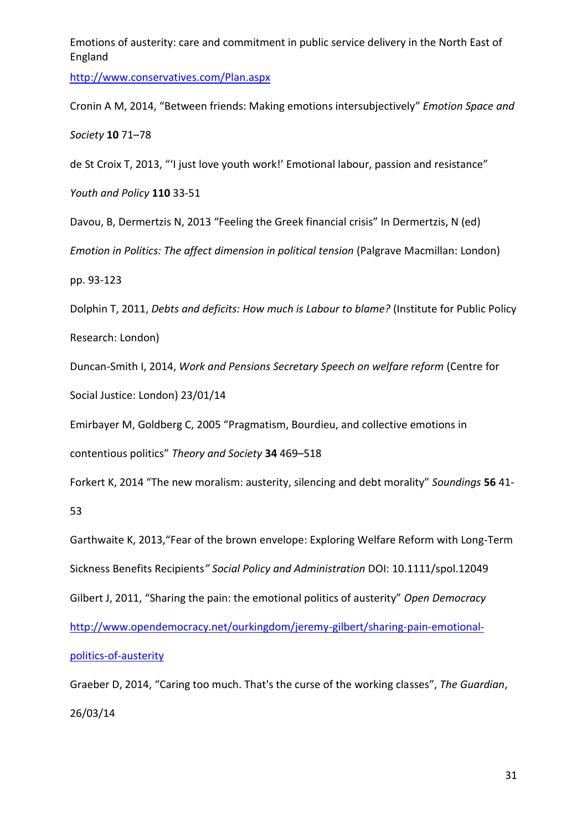http://www.conservatives.com/Plan.aspx

Cronin A M, 2014, "Between friends: Making emotions intersubjectively" Emotion Space and Society 10 71-78 de St Croix T, 2013, "'I just love youth work!' Emotional labour, passion and resistance" Youth and Policy 110 33-51

Davou, B, Dermertzis N, 2013 "Feeling the Greek financial crisis" In Dermertzis, N (ed)

Emotion in Politics: The affect dimension in political tension (Palgrave Macmillan: London)

pp. 93-123

Dolphin T, 2011, Debts and deficits: How much is Labour to blame? (Institute for Public Policy Research: London)

Duncan-Smith I, 2014, Work and Pensions Secretary Speech on welfare reform (Centre for Social Justice: London) 23/01/14

Emirbayer M, Goldberg C, 2005 "Pragmatism, Bourdieu, and collective emotions in

contentious politics" Theory and Society 34 469-518

Forkert K, 2014 "The new moralism: austerity, silencing and debt morality" Soundings 56 41-53

Garthwaite K, 2013, "Fear of the brown envelope: Exploring Welfare Reform with Long-Term Sickness Benefits Recipients" Social Policy and Administration DOI: 10.1111/spol.12049 Gilbert J, 2011, "Sharing the pain: the emotional politics of austerity" Open Democracy http://www.opendemocracy.net/ourkingdom/jeremy-gilbert/sharing-pain-emotionalpolitics-of-austerity

Graeber D, 2014, "Caring too much. That's the curse of the working classes", The Guardian, 26/03/14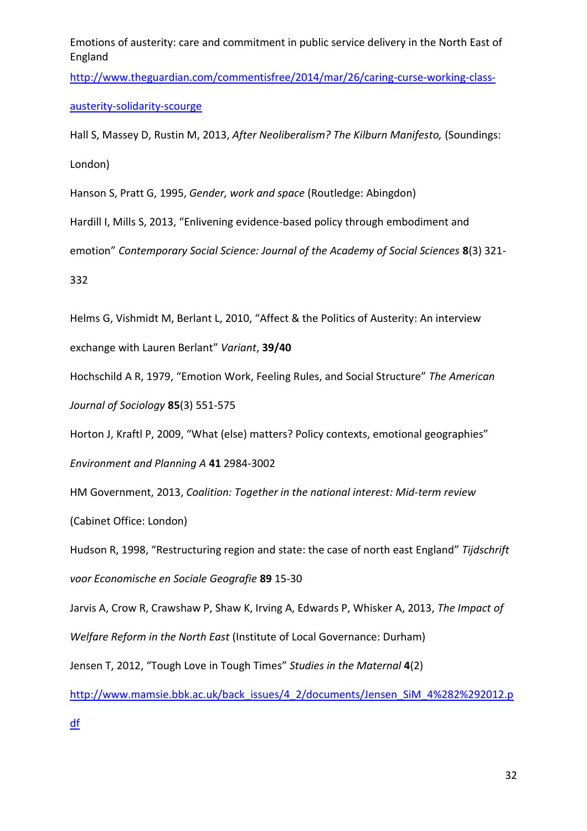http://www.theguardian.com/commentisfree/2014/mar/26/caring-curse-working-class-

austerity-solidarity-scourge

Hall S, Massey D, Rustin M, 2013, *After Neoliberalism? The Kilburn Manifesto,* (Soundings: London)

Hanson S, Pratt G, 1995, *Gender, work and space* (Routledge: Abingdon)

Hardill I, Mills S, 2013, "Enlivening evidence-based policy through embodiment and

emotion" Contemporary Social Science: Journal of the Academy of Social Sciences 8(3) 321-

332

Helms G, Vishmidt M, Berlant L, 2010, "Affect & the Politics of Austerity: An interview

exchange with Lauren Berlant͟ *Variant*, **39/40**

Hochschild A R, 1979, "Emotion Work, Feeling Rules, and Social Structure" The American *Journal of Sociology* **85**(3) 551-575

Horton J, Kraftl P, 2009, "What (else) matters? Policy contexts, emotional geographies"

*Environment and Planning A* **41** 2984-3002

HM Government, 2013, *Coalition: Together in the national interest: Mid-term review*  (Cabinet Office: London)

Hudson R, 1998, "Restructuring region and state: the case of north east England" Tijdschrift *voor Economische en Sociale Geografie* **89** 15-30

Jarvis A, Crow R, Crawshaw P, Shaw K, Irving A, Edwards P, Whisker A, 2013, *The Impact of* 

*Welfare Reform in the North East* (Institute of Local Governance: Durham)

Jensen T, 2012, "Tough Love in Tough Times" Studies in the Maternal 4(2)

[http://www.mamsie.bbk.ac.uk/back\\_issues/4\\_2/documents/Jensen\\_SiM\\_4%282%292012.p](http://www.mamsie.bbk.ac.uk/back_issues/4_2/documents/Jensen_SiM_4%282%292012.pdf)

[df](http://www.mamsie.bbk.ac.uk/back_issues/4_2/documents/Jensen_SiM_4%282%292012.pdf)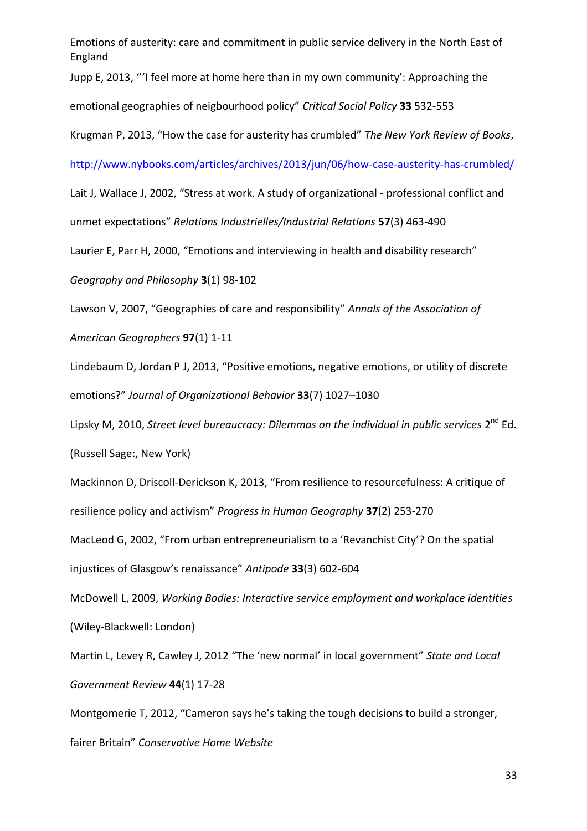Jupp E, 2013, "'I feel more at home here than in my own community': Approaching the

emotional geographies of neigbourhood policy" Critical Social Policy 33 532-553

Krugman P, 2013, "How the case for austerity has crumbled" The New York Review of Books,

http://www.nybooks.com/articles/archives/2013/jun/06/how-case-austerity-has-crumbled/

Lait J, Wallace J, 2002, "Stress at work. A study of organizational - professional conflict and unmet expectations" Relations Industrielles/Industrial Relations 57(3) 463-490

Laurier E, Parr H, 2000, "Emotions and interviewing in health and disability research"

Geography and Philosophy 3(1) 98-102

Lawson V, 2007, "Geographies of care and responsibility" Annals of the Association of

American Geographers 97(1) 1-11

Lindebaum D, Jordan P J, 2013, "Positive emotions, negative emotions, or utility of discrete emotions?" Journal of Organizational Behavior 33(7) 1027-1030

Lipsky M, 2010, Street level bureaucracy: Dilemmas on the individual in public services 2<sup>nd</sup> Ed.

(Russell Sage:, New York)

Mackinnon D, Driscoll-Derickson K, 2013, "From resilience to resourcefulness: A critique of resilience policy and activism" Progress in Human Geography 37(2) 253-270

MacLeod G, 2002, "From urban entrepreneurialism to a 'Revanchist City'? On the spatial injustices of Glasgow's renaissance" Antipode 33(3) 602-604

McDowell L, 2009, Working Bodies: Interactive service employment and workplace identities (Wiley-Blackwell: London)

Martin L, Levey R, Cawley J, 2012 "The 'new normal' in local government" State and Local Government Review 44(1) 17-28

Montgomerie T, 2012, "Cameron says he's taking the tough decisions to build a stronger, fairer Britain" Conservative Home Website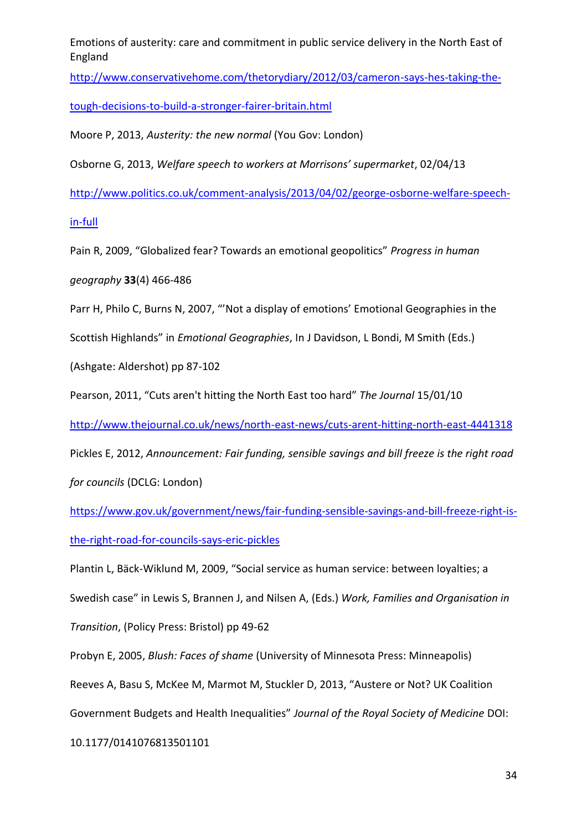http://www.conservativehome.com/thetorydiary/2012/03/cameron-says-hes-taking-the-

tough-decisions-to-build-a-stronger-fairer-britain.html

Moore P, 2013, Austerity: the new normal (You Gov: London)

Osborne G, 2013, Welfare speech to workers at Morrisons' supermarket, 02/04/13

http://www.politics.co.uk/comment-analysis/2013/04/02/george-osborne-welfare-speech-

in-full

Pain R, 2009, "Globalized fear? Towards an emotional geopolitics" Progress in human

geography 33(4) 466-486

Parr H, Philo C, Burns N, 2007, "'Not a display of emotions' Emotional Geographies in the

Scottish Highlands" in Emotional Geographies, In J Davidson, L Bondi, M Smith (Eds.)

(Ashgate: Aldershot) pp 87-102

Pearson, 2011, "Cuts aren't hitting the North East too hard" The Journal 15/01/10

http://www.thejournal.co.uk/news/north-east-news/cuts-arent-hitting-north-east-4441318

Pickles E, 2012, Announcement: Fair funding, sensible savings and bill freeze is the right road

for councils (DCLG: London)

https://www.gov.uk/government/news/fair-funding-sensible-savings-and-bill-freeze-right-isthe-right-road-for-councils-says-eric-pickles

Plantin L, Bäck-Wiklund M, 2009, "Social service as human service: between loyalties; a Swedish case" in Lewis S, Brannen J, and Nilsen A, (Eds.) Work, Families and Organisation in Transition, (Policy Press: Bristol) pp 49-62

Probyn E, 2005, Blush: Faces of shame (University of Minnesota Press: Minneapolis)

Reeves A, Basu S, McKee M, Marmot M, Stuckler D, 2013, "Austere or Not? UK Coalition

Government Budgets and Health Inequalities" Journal of the Royal Society of Medicine DOI:

10.1177/0141076813501101